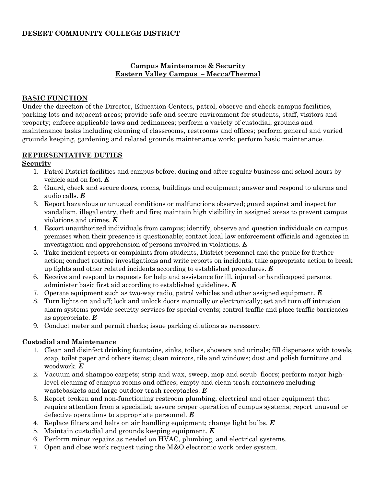# **DESERT COMMUNITY COLLEGE DISTRICT**

# **Campus Maintenance & Security Eastern Valley Campus – Mecca/Thermal**

#### **BASIC FUNCTION**

Under the direction of the Director, Education Centers, patrol, observe and check campus facilities, parking lots and adjacent areas; provide safe and secure environment for students, staff, visitors and property; enforce applicable laws and ordinances; perform a variety of custodial, grounds and maintenance tasks including cleaning of classrooms, restrooms and offices; perform general and varied grounds keeping, gardening and related grounds maintenance work; perform basic maintenance.

#### **REPRESENTATIVE DUTIES**

#### **Security**

- 1. Patrol District facilities and campus before, during and after regular business and school hours by vehicle and on foot. *E*
- 2. Guard, check and secure doors, rooms, buildings and equipment; answer and respond to alarms and audio calls. *E*
- 3. Report hazardous or unusual conditions or malfunctions observed; guard against and inspect for vandalism, illegal entry, theft and fire; maintain high visibility in assigned areas to prevent campus violations and crimes. *E*
- 4. Escort unauthorized individuals from campus; identify, observe and question individuals on campus premises when their presence is questionable; contact local law enforcement officials and agencies in investigation and apprehension of persons involved in violations. *E*
- 5. Take incident reports or complaints from students, District personnel and the public for further action; conduct routine investigations and write reports on incidents; take appropriate action to break up fights and other related incidents according to established procedures. *E*
- 6. Receive and respond to requests for help and assistance for ill, injured or handicapped persons; administer basic first aid according to established guidelines. *E*
- 7. Operate equipment such as two-way radio, patrol vehicles and other assigned equipment. *E*
- 8. Turn lights on and off; lock and unlock doors manually or electronically; set and turn off intrusion alarm systems provide security services for special events; control traffic and place traffic barricades as appropriate. *E*
- 9. Conduct meter and permit checks; issue parking citations as necessary.

# **Custodial and Maintenance**

- 1. Clean and disinfect drinking fountains, sinks, toilets, showers and urinals; fill dispensers with towels, soap, toilet paper and others items; clean mirrors, tile and windows; dust and polish furniture and woodwork. *E*
- 2. Vacuum and shampoo carpets; strip and wax, sweep, mop and scrub floors; perform major highlevel cleaning of campus rooms and offices; empty and clean trash containers including wastebaskets and large outdoor trash receptacles. *E*
- 3. Report broken and non-functioning restroom plumbing, electrical and other equipment that require attention from a specialist; assure proper operation of campus systems; report unusual or defective operations to appropriate personnel. *E*
- 4. Replace filters and belts on air handling equipment; change light bulbs. *E*
- 5. Maintain custodial and grounds keeping equipment. *E*
- 6. Perform minor repairs as needed on HVAC, plumbing, and electrical systems.
- 7. Open and close work request using the M&O electronic work order system.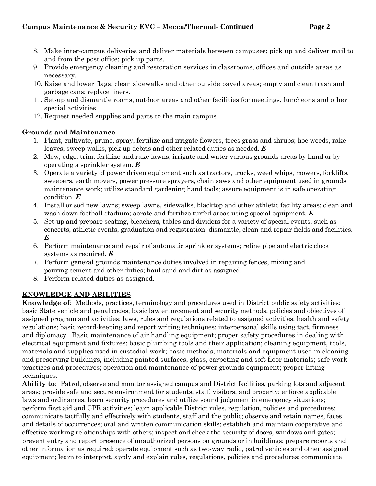- 8. Make inter-campus deliveries and deliver materials between campuses; pick up and deliver mail to and from the post office; pick up parts.
- 9. Provide emergency cleaning and restoration services in classrooms, offices and outside areas as necessary.
- 10. Raise and lower flags; clean sidewalks and other outside paved areas; empty and clean trash and garbage cans; replace liners.
- 11. Set-up and dismantle rooms, outdoor areas and other facilities for meetings, luncheons and other special activities.
- 12. Request needed supplies and parts to the main campus.

# **Grounds and Maintenance**

- 1. Plant, cultivate, prune, spray, fertilize and irrigate flowers, trees grass and shrubs; hoe weeds, rake leaves, sweep walks, pick up debris and other related duties as needed. *E*
- 2. Mow, edge, trim, fertilize and rake lawns; irrigate and water various grounds areas by hand or by operating a sprinkler system. *E*
- 3. Operate a variety of power driven equipment such as tractors, trucks, weed whips, mowers, forklifts, sweepers, earth movers, power pressure sprayers, chain saws and other equipment used in grounds maintenance work; utilize standard gardening hand tools; assure equipment is in safe operating condition. *E*
- 4. Install or sod new lawns; sweep lawns, sidewalks, blacktop and other athletic facility areas; clean and wash down football stadium; aerate and fertilize turfed areas using special equipment. *E*
- 5. Set-up and prepare seating, bleachers, tables and dividers for a variety of special events, such as concerts, athletic events, graduation and registration; dismantle, clean and repair fields and facilities. *E*
- 6. Perform maintenance and repair of automatic sprinkler systems; reline pipe and electric clock systems as required. *E*
- 7. Perform general grounds maintenance duties involved in repairing fences, mixing and pouring cement and other duties; haul sand and dirt as assigned.
- 8. Perform related duties as assigned.

# **KNOWLEDGE AND ABILITIES**

**Knowledge of**: Methods, practices, terminology and procedures used in District public safety activities; basic State vehicle and penal codes; basic law enforcement and security methods; policies and objectives of assigned program and activities; laws, rules and regulations related to assigned activities; health and safety regulations; basic record-keeping and report writing techniques; interpersonal skills using tact, firmness and diplomacy. Basic maintenance of air handling equipment; proper safety procedures in dealing with electrical equipment and fixtures; basic plumbing tools and their application; cleaning equipment, tools, materials and supplies used in custodial work; basic methods, materials and equipment used in cleaning and preserving buildings, including painted surfaces, glass, carpeting and soft floor materials; safe work practices and procedures; operation and maintenance of power grounds equipment; proper lifting techniques.

**Ability to**: Patrol, observe and monitor assigned campus and District facilities, parking lots and adjacent areas; provide safe and secure environment for students, staff, visitors, and property; enforce applicable laws and ordinances; learn security procedures and utilize sound judgment in emergency situations; perform first aid and CPR activities; learn applicable District rules, regulation, policies and procedures; communicate tactfully and effectively with students, staff and the public; observe and retain names, faces and details of occurrences; oral and written communication skills; establish and maintain cooperative and effective working relationships with others; inspect and check the security of doors, windows and gates; prevent entry and report presence of unauthorized persons on grounds or in buildings; prepare reports and other information as required; operate equipment such as two-way radio, patrol vehicles and other assigned equipment; learn to interpret, apply and explain rules, regulations, policies and procedures; communicate